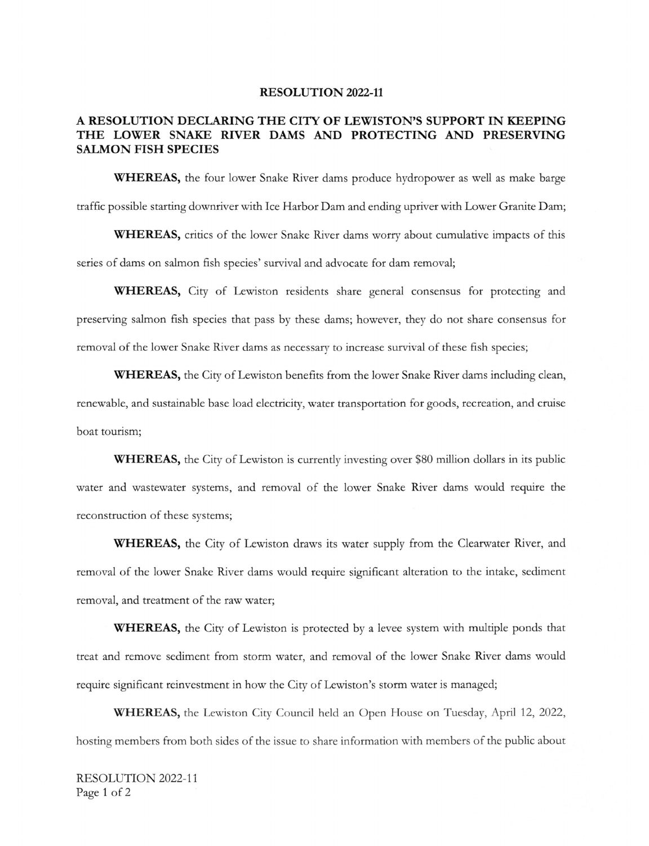## RESOLUTION 2022-11

## A RESOLUTION DECLARING THE CITY OF LEWISTON'S SUPPORT IN KEEPING THE LOWER SNAKE RIVER DAMS AND PROTECTING AND PRESERVING SALMON FISH SPECIES

WHEREAS, the four lower Snake River dams produce hydropower as well as make barge traffic possible starting downriver with Ice Harbor Dam and ending upriver with Lower Granite Dam;

WHEREAS, critics of the lower Snake River dams worry about cumulative impacts of this series of dams on salmon fish species' survival and advocate for dam removal;

WHEREAS, City of Lewiston residents share general consensus for protecting and preserving salmon fish species that pass by these dams; however, they do not share consensus for removal of the lower Snake River dams as necessary to increase survival of these fish species;

WHEREAS, the City of Lewiston benefits from the lower Snake River dams including clean, renewable, and sustainable base load electricity, water transportation for goods, recreation, and cruise boat tourism;

WHEREAS, the City of Lewiston is currently investing over \$80 million dollars in its public water and wastewater systems, and removal of the lower Snake River dams would require the reconstruction of these systems;

WHEREAS, the City of Lewiston draws its water supply from the Clearwater River, and removal of the lower Snake River dams would require significant alteration to the intake, sediment removal, and treatment of the raw water;

WHEREAS, the City of Lewiston is protected by <sup>a</sup> levee system with multiple ponds that treat and remove sediment from storm water, and removal of the lower Snake River dams would require significant reinvestment in how the City of Lewiston's storm water is managed;

WHEREAS, the Lewiston City Council held an Open House on Tuesday, April 12, 2022, hosting members from both sides of the issue to share information with members of the public about

RESOLUTION 2022-11 Page 1 of 2